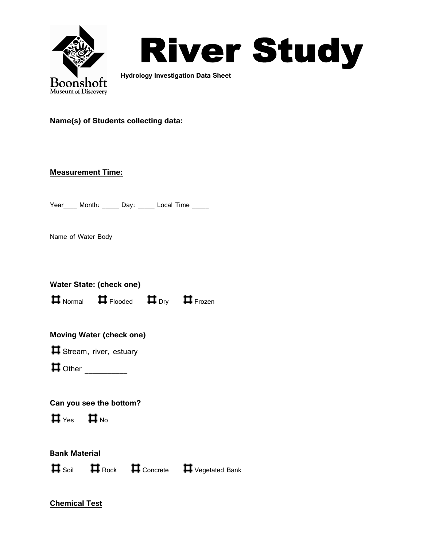

# River Study

 **Hydrology Investigation Data Sheet**

#### **Name(s) of Students collecting data:**

#### **Measurement Time:**

Year Month: Day: Local Time

Name of Water Body

|                                              | Water State: (check one)                                                                              |                                                  |
|----------------------------------------------|-------------------------------------------------------------------------------------------------------|--------------------------------------------------|
|                                              | $\boldsymbol{\Pi}$ Normal $\boldsymbol{\Pi}$ Flooded $\boldsymbol{\Pi}$ Dry $\boldsymbol{\Pi}$ Frozen |                                                  |
|                                              | <b>Moving Water (check one)</b>                                                                       |                                                  |
|                                              | Stream, river, estuary                                                                                |                                                  |
|                                              |                                                                                                       |                                                  |
| $\sharp$ $\mathsf{Yes}$ $\sharp$ $\sharp$ No | Can you see the bottom?                                                                               |                                                  |
| <b>Bank Material</b>                         |                                                                                                       | <b>ロ</b> Soil ■ Rock ■ Concrete ■ Vegetated Bank |
|                                              |                                                                                                       |                                                  |
|                                              |                                                                                                       |                                                  |

**Chemical Test**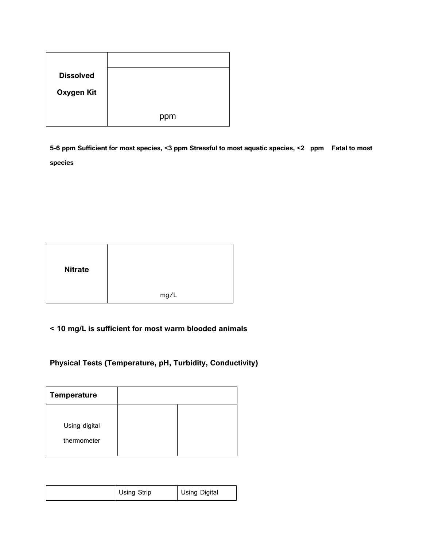| <b>Dissolved</b> |     |
|------------------|-----|
| Oxygen Kit       |     |
|                  |     |
|                  | ppm |

**5-6 ppm Sufficient for most species, <3 ppm Stressful to most aquatic species, <2 ppm Fatal to most species**

| <b>Nitrate</b> |      |  |
|----------------|------|--|
|                | mg/L |  |

# **< 10 mg/L is sufficient for most warm blooded animals**

### **Physical Tests (Temperature, pH, Turbidity, Conductivity)**

| <b>Temperature</b>           |  |
|------------------------------|--|
| Using digital<br>thermometer |  |

| Using Strip | <b>Using Digital</b> |  |
|-------------|----------------------|--|
|-------------|----------------------|--|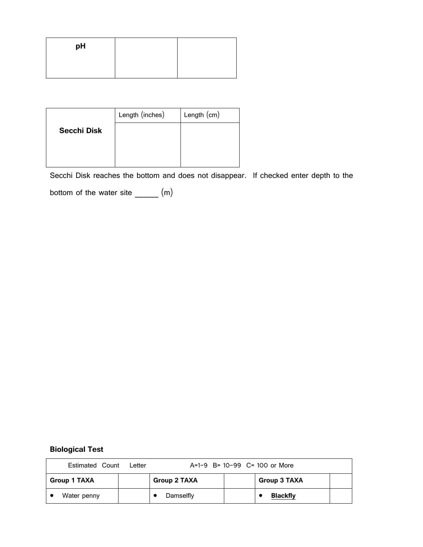| pH |  |
|----|--|
|    |  |

|                    | Length (inches) | Length $(cm)$ |
|--------------------|-----------------|---------------|
| <b>Secchi Disk</b> |                 |               |
|                    |                 |               |
|                    |                 |               |

Secchi Disk reaches the bottom and does not disappear. If checked enter depth to the

bottom of the water site \_\_\_\_\_\_ (m)

# **Biological Test**

| Estimated Count     | Letter | $A=1-9$ B= 10-99 C= 100 or More |  |                     |  |
|---------------------|--------|---------------------------------|--|---------------------|--|
| <b>Group 1 TAXA</b> |        | <b>Group 2 TAXA</b>             |  | <b>Group 3 TAXA</b> |  |
| Water penny         |        | Damselfly                       |  | <b>Blackfly</b>     |  |